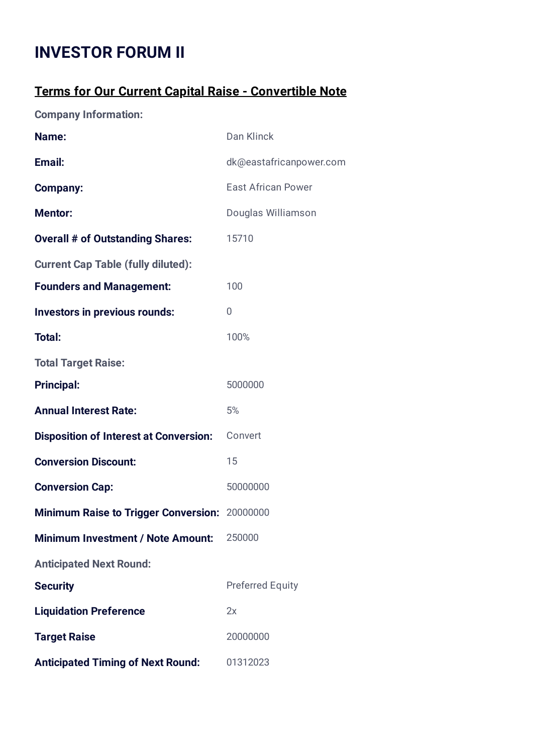## **INVESTOR FORUM II**

## **Terms for Our Current Capital Raise - Convertible Note**

**Company Information:**

| Name:                                                | Dan Klinck                |
|------------------------------------------------------|---------------------------|
| Email:                                               | dk@eastafricanpower.com   |
| <b>Company:</b>                                      | <b>East African Power</b> |
| <b>Mentor:</b>                                       | Douglas Williamson        |
| <b>Overall # of Outstanding Shares:</b>              | 15710                     |
| <b>Current Cap Table (fully diluted):</b>            |                           |
| <b>Founders and Management:</b>                      | 100                       |
| <b>Investors in previous rounds:</b>                 | 0                         |
| Total:                                               | 100%                      |
| <b>Total Target Raise:</b>                           |                           |
| <b>Principal:</b>                                    | 5000000                   |
| <b>Annual Interest Rate:</b>                         | 5%                        |
| <b>Disposition of Interest at Conversion:</b>        | Convert                   |
| <b>Conversion Discount:</b>                          | 15                        |
| <b>Conversion Cap:</b>                               | 50000000                  |
| <b>Minimum Raise to Trigger Conversion: 20000000</b> |                           |
| <b>Minimum Investment / Note Amount:</b>             | 250000                    |
| <b>Anticipated Next Round:</b>                       |                           |
| <b>Security</b>                                      | <b>Preferred Equity</b>   |
| <b>Liquidation Preference</b>                        | 2x                        |
| <b>Target Raise</b>                                  | 20000000                  |
| <b>Anticipated Timing of Next Round:</b>             | 01312023                  |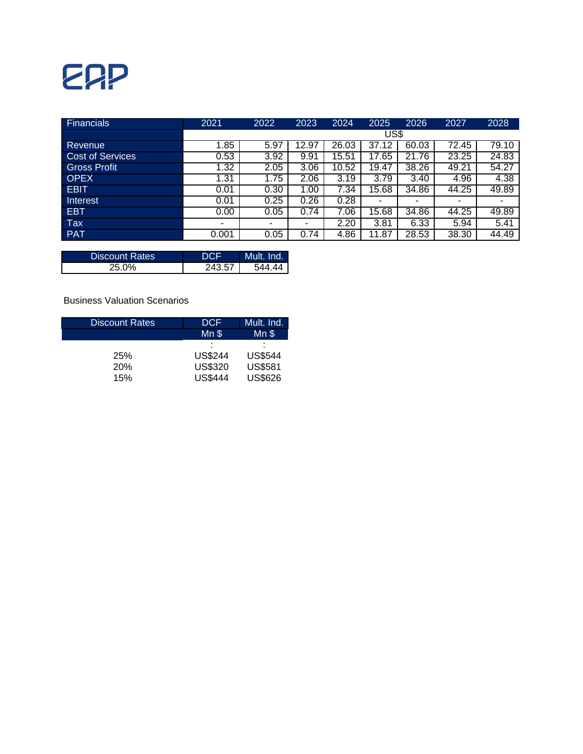## ERP

| <b>Financials</b>       | 2021  | 2022 | 2023  | 2024  | 2025  | 2026  | 2027  | 2028  |  |  |  |  |  |
|-------------------------|-------|------|-------|-------|-------|-------|-------|-------|--|--|--|--|--|
|                         | US\$  |      |       |       |       |       |       |       |  |  |  |  |  |
| <b>Revenue</b>          | 1.85  | 5.97 | 12.97 | 26.03 | 37.12 | 60.03 | 72.45 | 79.10 |  |  |  |  |  |
| <b>Cost of Services</b> | 0.53  | 3.92 | 9.91  | 15.51 | 17.65 | 21.76 | 23.25 | 24.83 |  |  |  |  |  |
| Gross Profit            | 1.32  | 2.05 | 3.06  | 10.52 | 19.47 | 38.26 | 49.21 | 54.27 |  |  |  |  |  |
| <b>OPEX</b>             | 1.31  | 1.75 | 2.06  | 3.19  | 3.79  | 3.40  | 4.96  | 4.38  |  |  |  |  |  |
| <b>EBIT</b>             | 0.01  | 0.30 | 1.00  | 7.34  | 15.68 | 34.86 | 44.25 | 49.89 |  |  |  |  |  |
| Interest                | 0.01  | 0.25 | 0.26  | 0.28  | -     | -     | -     |       |  |  |  |  |  |
| <b>EBT</b>              | 0.00  | 0.05 | 0.74  | 7.06  | 15.68 | 34.86 | 44.25 | 49.89 |  |  |  |  |  |
| Tax                     | -     | -    |       | 2.20  | 3.81  | 6.33  | 5.94  | 5.41  |  |  |  |  |  |
| <b>PAT</b>              | 0.001 | 0.05 | 0.74  | 4.86  | 11.87 | 28.53 | 38.30 | 44.49 |  |  |  |  |  |

| <b>Discount Rates</b> |        | Mult. Ind. |
|-----------------------|--------|------------|
| 25.0%                 | 243.57 | 544 AA     |

Business Valuation Scenarios

| <b>Discount Rates</b> | <b>DCF</b>     | Mult. Ind.     |
|-----------------------|----------------|----------------|
|                       | $Mn$ \$        | $Mn$ \$        |
|                       | ٠<br>٠         | ٠              |
| 25%                   | <b>US\$244</b> | <b>US\$544</b> |
| <b>20%</b>            | <b>US\$320</b> | <b>US\$581</b> |
| 15%                   | <b>US\$444</b> | <b>US\$626</b> |